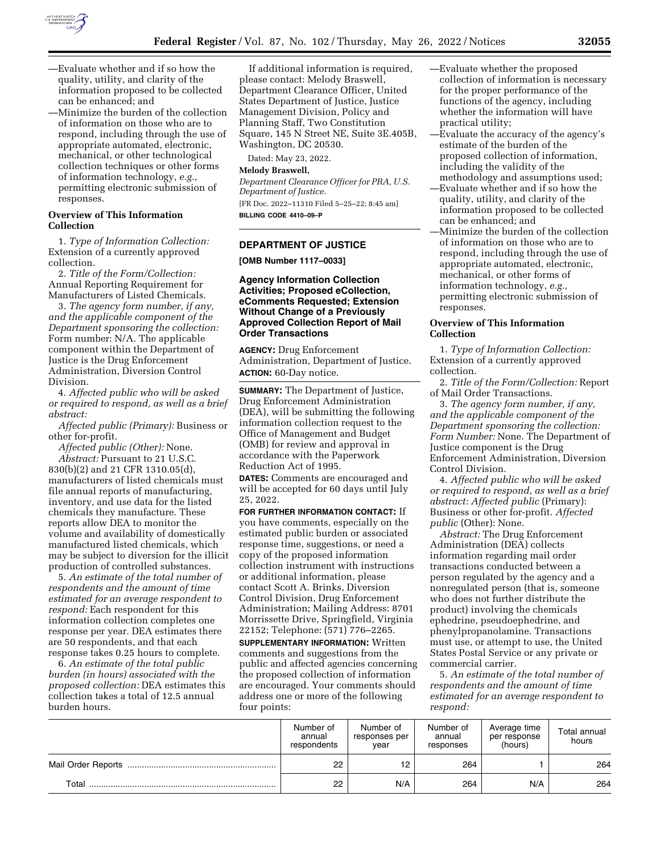

- —Evaluate whether and if so how the quality, utility, and clarity of the information proposed to be collected can be enhanced; and
- —Minimize the burden of the collection of information on those who are to respond, including through the use of appropriate automated, electronic, mechanical, or other technological collection techniques or other forms of information technology, *e.g.,*  permitting electronic submission of responses.

### **Overview of This Information Collection**

1. *Type of Information Collection:*  Extension of a currently approved collection.

2. *Title of the Form/Collection:*  Annual Reporting Requirement for Manufacturers of Listed Chemicals.

3. *The agency form number, if any, and the applicable component of the Department sponsoring the collection:*  Form number: N/A. The applicable component within the Department of Justice is the Drug Enforcement Administration, Diversion Control Division.

4. *Affected public who will be asked or required to respond, as well as a brief abstract:* 

*Affected public (Primary):* Business or other for-profit.

*Affected public (Other):* None. *Abstract:* Pursuant to 21 U.S.C. 830(b)(2) and 21 CFR 1310.05(d), manufacturers of listed chemicals must file annual reports of manufacturing, inventory, and use data for the listed chemicals they manufacture. These reports allow DEA to monitor the volume and availability of domestically manufactured listed chemicals, which may be subject to diversion for the illicit production of controlled substances.

5. *An estimate of the total number of respondents and the amount of time estimated for an average respondent to respond:* Each respondent for this information collection completes one response per year. DEA estimates there are 50 respondents, and that each response takes 0.25 hours to complete.

6. *An estimate of the total public burden (in hours) associated with the proposed collection:* DEA estimates this collection takes a total of 12.5 annual burden hours.

If additional information is required, please contact: Melody Braswell, Department Clearance Officer, United States Department of Justice, Justice Management Division, Policy and Planning Staff, Two Constitution Square, 145 N Street NE, Suite 3E.405B, Washington, DC 20530.

Dated: May 23, 2022.

## **Melody Braswell,**

*Department Clearance Officer for PRA, U.S. Department of Justice.*  [FR Doc. 2022–11310 Filed 5–25–22; 8:45 am] **BILLING CODE 4410–09–P** 

## **DEPARTMENT OF JUSTICE**

**[OMB Number 1117–0033]** 

## **Agency Information Collection Activities; Proposed eCollection, eComments Requested; Extension Without Change of a Previously Approved Collection Report of Mail Order Transactions**

**AGENCY:** Drug Enforcement Administration, Department of Justice. **ACTION:** 60-Day notice.

**SUMMARY:** The Department of Justice, Drug Enforcement Administration (DEA), will be submitting the following information collection request to the Office of Management and Budget (OMB) for review and approval in accordance with the Paperwork Reduction Act of 1995.

**DATES:** Comments are encouraged and will be accepted for 60 days until July 25, 2022.

**FOR FURTHER INFORMATION CONTACT:** If you have comments, especially on the estimated public burden or associated response time, suggestions, or need a copy of the proposed information collection instrument with instructions or additional information, please contact Scott A. Brinks, Diversion Control Division, Drug Enforcement Administration; Mailing Address: 8701 Morrissette Drive, Springfield, Virginia 22152; Telephone: (571) 776–2265. **SUPPLEMENTARY INFORMATION:** Written comments and suggestions from the public and affected agencies concerning the proposed collection of information are encouraged. Your comments should address one or more of the following four points:

- —Evaluate whether the proposed collection of information is necessary for the proper performance of the functions of the agency, including whether the information will have practical utility;
- —Evaluate the accuracy of the agency's estimate of the burden of the proposed collection of information, including the validity of the
- methodology and assumptions used; —Evaluate whether and if so how the quality, utility, and clarity of the information proposed to be collected can be enhanced; and
- —Minimize the burden of the collection of information on those who are to respond, including through the use of appropriate automated, electronic, mechanical, or other forms of information technology, *e.g.,*  permitting electronic submission of responses.

#### **Overview of This Information Collection**

1. *Type of Information Collection:*  Extension of a currently approved collection.

2. *Title of the Form/Collection:* Report of Mail Order Transactions.

3. *The agency form number, if any, and the applicable component of the Department sponsoring the collection: Form Number:* None. The Department of Justice component is the Drug Enforcement Administration, Diversion Control Division.

4. *Affected public who will be asked or required to respond, as well as a brief abstract: Affected public* (Primary): Business or other for-profit. *Affected public* (Other): None.

*Abstract:* The Drug Enforcement Administration (DEA) collects information regarding mail order transactions conducted between a person regulated by the agency and a nonregulated person (that is, someone who does not further distribute the product) involving the chemicals ephedrine, pseudoephedrine, and phenylpropanolamine. Transactions must use, or attempt to use, the United States Postal Service or any private or commercial carrier.

5. *An estimate of the total number of respondents and the amount of time estimated for an average respondent to respond:* 

|                    | Number of<br>annual<br>respondents | Number of<br>responses per<br>year | Number of<br>annual<br>responses | Average time<br>per response<br>(hours) | Total annual<br>hours |
|--------------------|------------------------------------|------------------------------------|----------------------------------|-----------------------------------------|-----------------------|
| Mail Order Reports | 22                                 |                                    | 264                              |                                         | 264                   |
| Total              | 22                                 | N/A                                | 264                              | N/A                                     | 264                   |